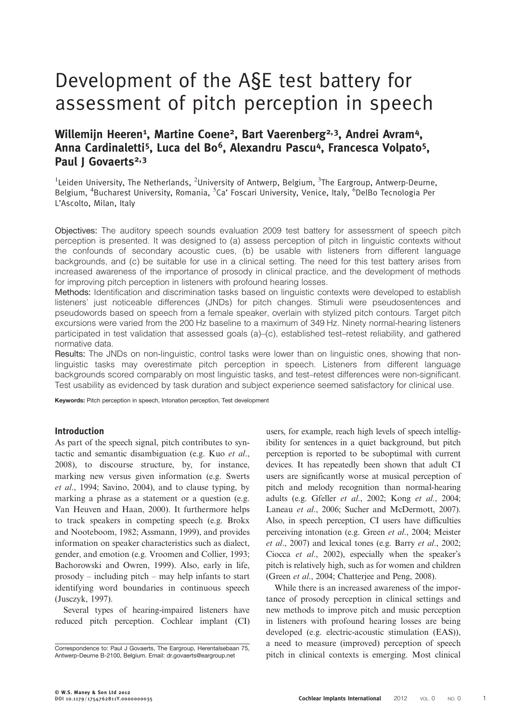# Development of the A§E test battery for assessment of pitch perception in speech

## Willemijn Heeren<sup>1</sup>, Martine Coene<sup>2</sup>, Bart Vaerenberg<sup>2,3</sup>, Andrei Avram<sup>4</sup>, Anna Cardinaletti<sup>5</sup>, Luca del Bo<sup>6</sup>, Alexandru Pascu<sup>4</sup>, Francesca Volpato<sup>5</sup>, Paul I Govaerts<sup>2,3</sup>

<sup>1</sup>Leiden University, The Netherlands, <sup>2</sup>University of Antwerp, Belgium, <sup>3</sup>The Eargroup, Antwerp-Deurne, Belgium, <sup>4</sup>Bucharest University, Romania, <sup>5</sup>Ca' Foscari University, Venice, Italy, <sup>6</sup>DelBo Tecnologia Per L'Ascolto, Milan, Italy

Objectives: The auditory speech sounds evaluation 2009 test battery for assessment of speech pitch perception is presented. It was designed to (a) assess perception of pitch in linguistic contexts without the confounds of secondary acoustic cues, (b) be usable with listeners from different language backgrounds, and (c) be suitable for use in a clinical setting. The need for this test battery arises from increased awareness of the importance of prosody in clinical practice, and the development of methods for improving pitch perception in listeners with profound hearing losses.

Methods: Identification and discrimination tasks based on linguistic contexts were developed to establish listeners' just noticeable differences (JNDs) for pitch changes. Stimuli were pseudosentences and pseudowords based on speech from a female speaker, overlain with stylized pitch contours. Target pitch excursions were varied from the 200 Hz baseline to a maximum of 349 Hz. Ninety normal-hearing listeners participated in test validation that assessed goals (a)–(c), established test–retest reliability, and gathered normative data.

Results: The JNDs on non-linguistic, control tasks were lower than on linguistic ones, showing that nonlinguistic tasks may overestimate pitch perception in speech. Listeners from different language backgrounds scored comparably on most linguistic tasks, and test–retest differences were non-significant. Test usability as evidenced by task duration and subject experience seemed satisfactory for clinical use.

Keywords: Pitch perception in speech, Intonation perception, Test development

## Introduction

As part of the speech signal, pitch contributes to syntactic and semantic disambiguation (e.g. Kuo [et al](#page-12-0)., [2008](#page-12-0)), to discourse structure, by, for instance, marking new versus given information (e.g. [Swerts](#page-13-0) et al[., 1994;](#page-13-0) [Savino, 2004\)](#page-12-0), and to clause typing, by marking a phrase as a statement or a question (e.g. [Van Heuven and Haan, 2000\)](#page-13-0). It furthermore helps to track speakers in competing speech (e.g. [Brokx](#page-12-0) [and Nooteboom, 1982; Assmann, 1999\)](#page-12-0), and provides information on speaker characteristics such as dialect, gender, and emotion (e.g. [Vroomen and Collier, 1993](#page-13-0); [Bachorowski and Owren, 1999](#page-12-0)). Also, early in life, prosody – including pitch – may help infants to start identifying word boundaries in continuous speech [\(Jusczyk, 1997\)](#page-12-0).

Several types of hearing-impaired listeners have reduced pitch perception. Cochlear implant (CI) users, for example, reach high levels of speech intelligibility for sentences in a quiet background, but pitch perception is reported to be suboptimal with current devices. It has repeatedly been shown that adult CI users are significantly worse at musical perception of pitch and melody recognition than normal-hearing adults (e.g. Gfeller et al[., 2002](#page-12-0); Kong et al[., 2004](#page-12-0); [Laneau](#page-12-0) et al., 2006; [Sucher and McDermott, 2007](#page-13-0)). Also, in speech perception, CI users have difficulties perceiving intonation (e.g. Green et al[., 2004](#page-12-0); [Meister](#page-12-0) et al[., 2007](#page-12-0)) and lexical tones (e.g. Barry et al[., 2002](#page-12-0); Ciocca et al[., 2002](#page-12-0)), especially when the speaker's pitch is relatively high, such as for women and children (Green et al[., 2004; Chatterjee and Peng, 2008](#page-12-0)).

While there is an increased awareness of the importance of prosody perception in clinical settings and new methods to improve pitch and music perception in listeners with profound hearing losses are being developed (e.g. electric-acoustic stimulation (EAS)), a need to measure (improved) perception of speech Correspondence to: Paul J Govaerts, The Eargroup, Herentalsebaan 75,<br>Antwerp-Deurne B-2100, Belgium. Email: dr.govaerts@eargroup.net pitch in clinical contexts is emerging. Most clinical

Antwerp-Deurne B-2100, Belgium. Email: [dr.govaerts@eargroup.net](mailto:dr.govaerts@eargroup.net)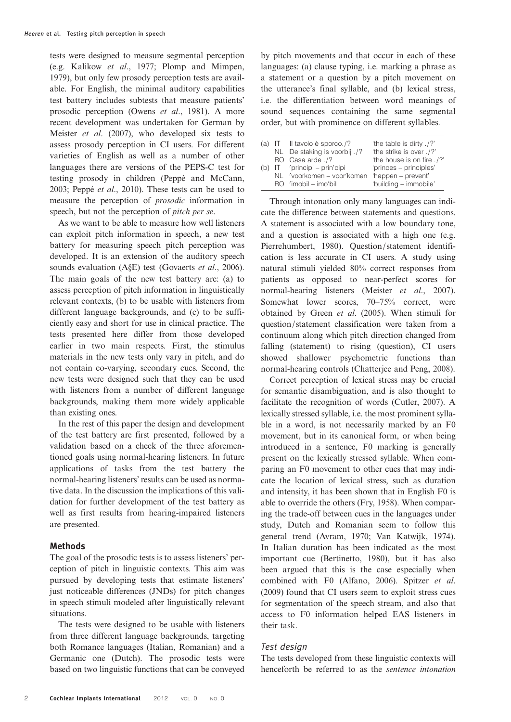tests were designed to measure segmental perception (e.g. [Kalikow](#page-12-0) et al., 1977; [Plomp and Mimpen,](#page-12-0) [1979\)](#page-12-0), but only few prosody perception tests are available. For English, the minimal auditory capabilities test battery includes subtests that measure patients' prosodic perception (Owens et al[., 1981\)](#page-12-0). A more recent development was undertaken for German by Meister et al[. \(2007\),](#page-12-0) who developed six tests to assess prosody perception in CI users. For different varieties of English as well as a number of other languages there are versions of the PEPS-C test for testing prosody in children ([Peppé and McCann,](#page-12-0) [2003;](#page-12-0) Peppé et al[., 2010\)](#page-12-0). These tests can be used to measure the perception of prosodic information in speech, but not the perception of pitch per se.

As we want to be able to measure how well listeners can exploit pitch information in speech, a new test battery for measuring speech pitch perception was developed. It is an extension of the auditory speech sounds evaluation (A§E) test ([Govaerts](#page-12-0) et al., 2006). The main goals of the new test battery are: (a) to assess perception of pitch information in linguistically relevant contexts, (b) to be usable with listeners from different language backgrounds, and (c) to be sufficiently easy and short for use in clinical practice. The tests presented here differ from those developed earlier in two main respects. First, the stimulus materials in the new tests only vary in pitch, and do not contain co-varying, secondary cues. Second, the new tests were designed such that they can be used with listeners from a number of different language backgrounds, making them more widely applicable than existing ones.

In the rest of this paper the design and development of the test battery are first presented, followed by a validation based on a check of the three aforementioned goals using normal-hearing listeners. In future applications of tasks from the test battery the normal-hearing listeners' results can be used as normative data. In the discussion the implications of this validation for further development of the test battery as well as first results from hearing-impaired listeners are presented.

## Methods

The goal of the prosodic tests is to assess listeners' perception of pitch in linguistic contexts. This aim was pursued by developing tests that estimate listeners' just noticeable differences (JNDs) for pitch changes in speech stimuli modeled after linguistically relevant situations.

The tests were designed to be usable with listeners from three different language backgrounds, targeting both Romance languages (Italian, Romanian) and a Germanic one (Dutch). The prosodic tests were based on two linguistic functions that can be conveyed

by pitch movements and that occur in each of these languages: (a) clause typing, i.e. marking a phrase as a statement or a question by a pitch movement on the utterance's final syllable, and (b) lexical stress, i.e. the differentiation between word meanings of sound sequences containing the same segmental order, but with prominence on different syllables.

|     | (a) IT Il tavolo è sporco./?                  | 'the table is dirty ./?'   |
|-----|-----------------------------------------------|----------------------------|
|     | NL De staking is voorbij ./?                  | 'the strike is over ./?'   |
|     | RO Casa arde ./?                              | 'the house is on fire ./?' |
| (b) | IT /principi – prin'cipi                      | 'princes – principles'     |
|     | NL 'voorkomen – voor'komen 'happen – prevent' |                            |
|     | RO 'imobil – imo'bil                          | 'building - immobile'      |

Through intonation only many languages can indicate the difference between statements and questions. A statement is associated with a low boundary tone, and a question is associated with a high one (e.g. [Pierrehumbert, 1980](#page-12-0)). Question/statement identification is less accurate in CI users. A study using natural stimuli yielded 80% correct responses from patients as opposed to near-perfect scores for normal-hearing listeners (Meister et al[., 2007](#page-12-0)). Somewhat lower scores, 70–75% correct, were obtained by Green et al[. \(2005\)](#page-12-0). When stimuli for question/statement classification were taken from a continuum along which pitch direction changed from falling (statement) to rising (question), CI users showed shallower psychometric functions than normal-hearing controls ([Chatterjee and Peng, 2008\)](#page-12-0).

Correct perception of lexical stress may be crucial for semantic disambiguation, and is also thought to facilitate the recognition of words ([Cutler, 2007\)](#page-12-0). A lexically stressed syllable, i.e. the most prominent syllable in a word, is not necessarily marked by an F0 movement, but in its canonical form, or when being introduced in a sentence, F0 marking is generally present on the lexically stressed syllable. When comparing an F0 movement to other cues that may indicate the location of lexical stress, such as duration and intensity, it has been shown that in English F0 is able to override the others [\(Fry, 1958](#page-12-0)). When comparing the trade-off between cues in the languages under study, Dutch and Romanian seem to follow this general trend [\(Avram, 1970;](#page-12-0) [Van Katwijk, 1974](#page-13-0)). In Italian duration has been indicated as the most important cue ([Bertinetto, 1980](#page-12-0)), but it has also been argued that this is the case especially when combined with F0 ([Alfano, 2006\)](#page-12-0). [Spitzer](#page-12-0) et al. [\(2009\)](#page-12-0) found that CI users seem to exploit stress cues for segmentation of the speech stream, and also that access to F0 information helped EAS listeners in their task.

## Test design

The tests developed from these linguistic contexts will henceforth be referred to as the sentence intonation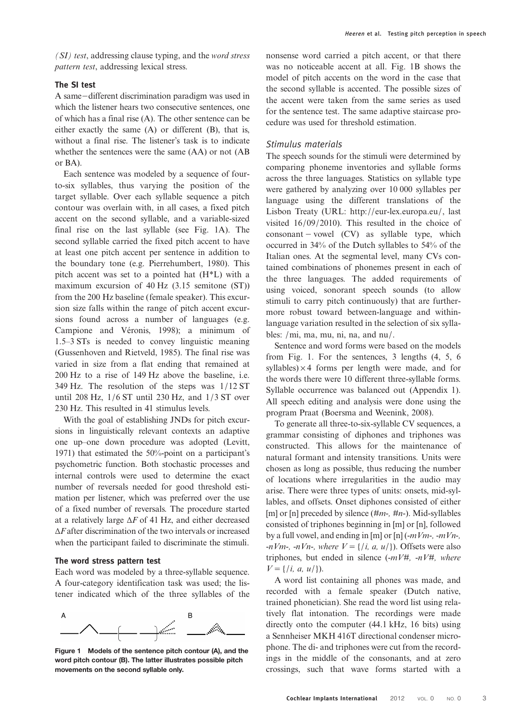(SI) test, addressing clause typing, and the word stress pattern test, addressing lexical stress.

## The SI test

A same−different discrimination paradigm was used in which the listener hears two consecutive sentences, one of which has a final rise (A). The other sentence can be either exactly the same (A) or different (B), that is, without a final rise. The listener's task is to indicate whether the sentences were the same (AA) or not (AB or BA).

Each sentence was modeled by a sequence of fourto-six syllables, thus varying the position of the target syllable. Over each syllable sequence a pitch contour was overlain with, in all cases, a fixed pitch accent on the second syllable, and a variable-sized final rise on the last syllable (see Fig. 1A). The second syllable carried the fixed pitch accent to have at least one pitch accent per sentence in addition to the boundary tone (e.g. [Pierrehumbert, 1980\)](#page-12-0). This pitch accent was set to a pointed hat (H\*L) with a maximum excursion of 40 Hz (3.15 semitone (ST)) from the 200 Hz baseline (female speaker). This excursion size falls within the range of pitch accent excursions found across a number of languages (e.g. [Campione and Véronis, 1998](#page-12-0)); a minimum of 1.5–3 STs is needed to convey linguistic meaning [\(Gussenhoven and Rietveld, 1985\)](#page-12-0). The final rise was varied in size from a flat ending that remained at 200 Hz to a rise of 149 Hz above the baseline, i.e. 349 Hz. The resolution of the steps was 1/12 ST until 208 Hz, 1/6 ST until 230 Hz, and 1/3 ST over 230 Hz. This resulted in 41 stimulus levels.

With the goal of establishing JNDs for pitch excursions in linguistically relevant contexts an adaptive one up–one down procedure was adopted ([Levitt,](#page-12-0) [1971\)](#page-12-0) that estimated the 50%-point on a participant's psychometric function. Both stochastic processes and internal controls were used to determine the exact number of reversals needed for good threshold estimation per listener, which was preferred over the use of a fixed number of reversals. The procedure started at a relatively large  $\Delta F$  of 41 Hz, and either decreased  $\Delta F$  after discrimination of the two intervals or increased when the participant failed to discriminate the stimuli.

## The word stress pattern test

Each word was modeled by a three-syllable sequence. A four-category identification task was used; the listener indicated which of the three syllables of the



Figure 1 Models of the sentence pitch contour (A), and the word pitch contour (B). The latter illustrates possible pitch movements on the second syllable only.

nonsense word carried a pitch accent, or that there was no noticeable accent at all. Fig. 1B shows the model of pitch accents on the word in the case that the second syllable is accented. The possible sizes of the accent were taken from the same series as used for the sentence test. The same adaptive staircase procedure was used for threshold estimation.

## Stimulus materials

The speech sounds for the stimuli were determined by comparing phoneme inventories and syllable forms across the three languages. Statistics on syllable type were gathered by analyzing over 10 000 syllables per language using the different translations of the Lisbon Treaty (URL: [http:](mailto:dr.govaerts@eargroup.net)//[eur-lex.europa.eu](mailto:dr.govaerts@eargroup.net)/, last visited 16/09/2010). This resulted in the choice of consonant − vowel (CV) as syllable type, which occurred in 34% of the Dutch syllables to 54% of the Italian ones. At the segmental level, many CVs contained combinations of phonemes present in each of the three languages. The added requirements of using voiced, sonorant speech sounds (to allow stimuli to carry pitch continuously) that are furthermore robust toward between-language and withinlanguage variation resulted in the selection of six syllables: /mi, ma, mu, ni, na, and nu/.

Sentence and word forms were based on the models from Fig. 1. For the sentences, 3 lengths (4, 5, 6 syllables)  $\times$  4 forms per length were made, and for the words there were 10 different three-syllable forms. Syllable occurrence was balanced out (Appendix 1). All speech editing and analysis were done using the program Praat [\(Boersma and Weenink, 2008\)](#page-12-0).

To generate all three-to-six-syllable CV sequences, a grammar consisting of diphones and triphones was constructed. This allows for the maintenance of natural formant and intensity transitions. Units were chosen as long as possible, thus reducing the number of locations where irregularities in the audio may arise. There were three types of units: onsets, mid-syllables, and offsets. Onset diphones consisted of either [m] or [n] preceded by silence  $(\#m_{\tau}, \#n_{\tau})$ . Mid-syllables consisted of triphones beginning in [m] or [n], followed by a full vowel, and ending in [m] or [n]  $(-mVm-, -mVn-,$ -nVm-, -nVn-, where  $V = \{(i, a, u)\})$ . Offsets were also triphones, but ended in silence  $(-mV#, -nV#,$  where  $V = \{i, a, u/\}.$ 

A word list containing all phones was made, and recorded with a female speaker (Dutch native, trained phonetician). She read the word list using relatively flat intonation. The recordings were made directly onto the computer (44.1 kHz, 16 bits) using a Sennheiser MKH 416T directional condenser microphone. The di- and triphones were cut from the recordings in the middle of the consonants, and at zero crossings, such that wave forms started with a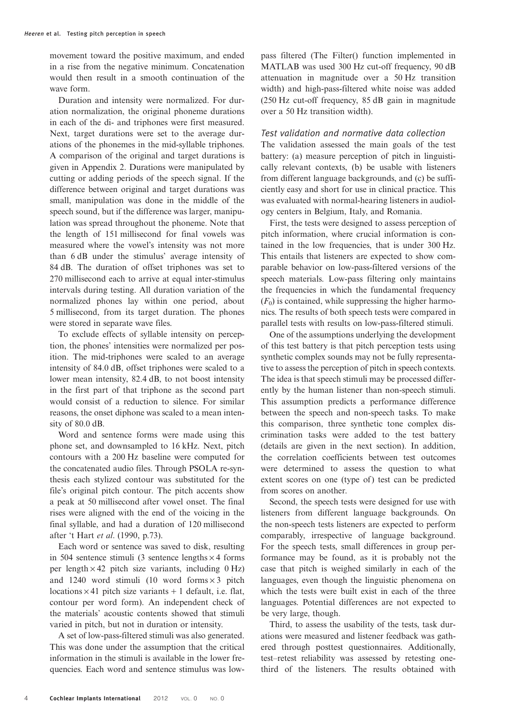movement toward the positive maximum, and ended in a rise from the negative minimum. Concatenation would then result in a smooth continuation of the wave form.

Duration and intensity were normalized. For duration normalization, the original phoneme durations in each of the di- and triphones were first measured. Next, target durations were set to the average durations of the phonemes in the mid-syllable triphones. A comparison of the original and target durations is given in Appendix 2. Durations were manipulated by cutting or adding periods of the speech signal. If the difference between original and target durations was small, manipulation was done in the middle of the speech sound, but if the difference was larger, manipulation was spread throughout the phoneme. Note that the length of 151 millisecond for final vowels was measured where the vowel's intensity was not more than 6 dB under the stimulus' average intensity of 84 dB. The duration of offset triphones was set to 270 millisecond each to arrive at equal inter-stimulus intervals during testing. All duration variation of the normalized phones lay within one period, about 5 millisecond, from its target duration. The phones were stored in separate wave files.

To exclude effects of syllable intensity on perception, the phones' intensities were normalized per position. The mid-triphones were scaled to an average intensity of 84.0 dB, offset triphones were scaled to a lower mean intensity, 82.4 dB, to not boost intensity in the first part of that triphone as the second part would consist of a reduction to silence. For similar reasons, the onset diphone was scaled to a mean intensity of 80.0 dB.

Word and sentence forms were made using this phone set, and downsampled to 16 kHz. Next, pitch contours with a 200 Hz baseline were computed for the concatenated audio files. Through PSOLA re-synthesis each stylized contour was substituted for the file's original pitch contour. The pitch accents show a peak at 50 millisecond after vowel onset. The final rises were aligned with the end of the voicing in the final syllable, and had a duration of 120 millisecond after 't Hart et al[. \(1990](#page-12-0), p.73).

Each word or sentence was saved to disk, resulting in 504 sentence stimuli (3 sentence lengths  $\times$  4 forms per length  $\times$  42 pitch size variants, including 0 Hz) and 1240 word stimuli (10 word forms  $\times$  3 pitch locations  $\times$  41 pitch size variants + 1 default, i.e. flat, contour per word form). An independent check of the materials' acoustic contents showed that stimuli varied in pitch, but not in duration or intensity.

A set of low-pass-filtered stimuli was also generated. This was done under the assumption that the critical information in the stimuli is available in the lower frequencies. Each word and sentence stimulus was lowpass filtered (The Filter() function implemented in MATLAB was used 300 Hz cut-off frequency, 90 dB attenuation in magnitude over a 50 Hz transition width) and high-pass-filtered white noise was added (250 Hz cut-off frequency, 85 dB gain in magnitude over a 50 Hz transition width).

## Test validation and normative data collection

The validation assessed the main goals of the test battery: (a) measure perception of pitch in linguistically relevant contexts, (b) be usable with listeners from different language backgrounds, and (c) be sufficiently easy and short for use in clinical practice. This was evaluated with normal-hearing listeners in audiology centers in Belgium, Italy, and Romania.

First, the tests were designed to assess perception of pitch information, where crucial information is contained in the low frequencies, that is under 300 Hz. This entails that listeners are expected to show comparable behavior on low-pass-filtered versions of the speech materials. Low-pass filtering only maintains the frequencies in which the fundamental frequency  $(F<sub>0</sub>)$  is contained, while suppressing the higher harmonics. The results of both speech tests were compared in parallel tests with results on low-pass-filtered stimuli.

One of the assumptions underlying the development of this test battery is that pitch perception tests using synthetic complex sounds may not be fully representative to assess the perception of pitch in speech contexts. The idea is that speech stimuli may be processed differently by the human listener than non-speech stimuli. This assumption predicts a performance difference between the speech and non-speech tasks. To make this comparison, three synthetic tone complex discrimination tasks were added to the test battery (details are given in the next section). In addition, the correlation coefficients between test outcomes were determined to assess the question to what extent scores on one (type of) test can be predicted from scores on another.

Second, the speech tests were designed for use with listeners from different language backgrounds. On the non-speech tests listeners are expected to perform comparably, irrespective of language background. For the speech tests, small differences in group performance may be found, as it is probably not the case that pitch is weighed similarly in each of the languages, even though the linguistic phenomena on which the tests were built exist in each of the three languages. Potential differences are not expected to be very large, though.

Third, to assess the usability of the tests, task durations were measured and listener feedback was gathered through posttest questionnaires. Additionally, test–retest reliability was assessed by retesting onethird of the listeners. The results obtained with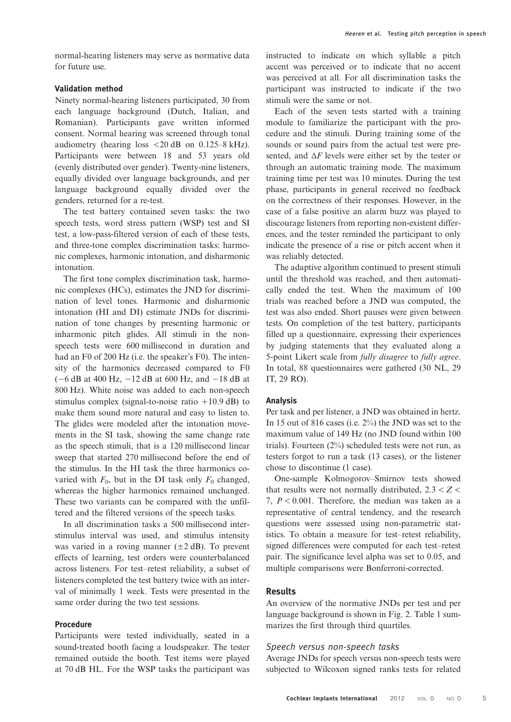normal-hearing listeners may serve as normative data for future use.

## Validation method

Ninety normal-hearing listeners participated, 30 from each language background (Dutch, Italian, and Romanian). Participants gave written informed consent. Normal hearing was screened through tonal audiometry (hearing loss  $\langle 20 \text{ dB} \rangle$  on 0.125–8 kHz). Participants were between 18 and 53 years old (evenly distributed over gender). Twenty-nine listeners, equally divided over language backgrounds, and per language background equally divided over the genders, returned for a re-test.

The test battery contained seven tasks: the two speech tests, word stress pattern (WSP) test and SI test, a low-pass-filtered version of each of these tests, and three-tone complex discrimination tasks: harmonic complexes, harmonic intonation, and disharmonic intonation.

The first tone complex discrimination task, harmonic complexes (HCs), estimates the JND for discrimination of level tones. Harmonic and disharmonic intonation (HI and DI) estimate JNDs for discrimination of tone changes by presenting harmonic or inharmonic pitch glides. All stimuli in the nonspeech tests were 600 millisecond in duration and had an F0 of 200 Hz (i.e. the speaker's F0). The intensity of the harmonics decreased compared to F0 (−6 dB at 400 Hz, −12 dB at 600 Hz, and −18 dB at 800 Hz). White noise was added to each non-speech stimulus complex (signal-to-noise ratio  $+10.9$  dB) to make them sound more natural and easy to listen to. The glides were modeled after the intonation movements in the SI task, showing the same change rate as the speech stimuli, that is a 120 millisecond linear sweep that started 270 millisecond before the end of the stimulus. In the HI task the three harmonics covaried with  $F_0$ , but in the DI task only  $F_0$  changed, whereas the higher harmonics remained unchanged. These two variants can be compared with the unfiltered and the filtered versions of the speech tasks.

In all discrimination tasks a 500 millisecond interstimulus interval was used, and stimulus intensity was varied in a roving manner  $(\pm 2 \text{ dB})$ . To prevent effects of learning, test orders were counterbalanced across listeners. For test–retest reliability, a subset of listeners completed the test battery twice with an interval of minimally 1 week. Tests were presented in the same order during the two test sessions.

## Procedure

Participants were tested individually, seated in a sound-treated booth facing a loudspeaker. The tester remained outside the booth. Test items were played at 70 dB HL. For the WSP tasks the participant was

instructed to indicate on which syllable a pitch accent was perceived or to indicate that no accent was perceived at all. For all discrimination tasks the participant was instructed to indicate if the two stimuli were the same or not.

Each of the seven tests started with a training module to familiarize the participant with the procedure and the stimuli. During training some of the sounds or sound pairs from the actual test were presented, and  $\Delta F$  levels were either set by the tester or through an automatic training mode. The maximum training time per test was 10 minutes. During the test phase, participants in general received no feedback on the correctness of their responses. However, in the case of a false positive an alarm buzz was played to discourage listeners from reporting non-existent differences, and the tester reminded the participant to only indicate the presence of a rise or pitch accent when it was reliably detected.

The adaptive algorithm continued to present stimuli until the threshold was reached, and then automatically ended the test. When the maximum of 100 trials was reached before a JND was computed, the test was also ended. Short pauses were given between tests. On completion of the test battery, participants filled up a questionnaire, expressing their experiences by judging statements that they evaluated along a 5-point Likert scale from fully disagree to fully agree. In total, 88 questionnaires were gathered (30 NL, 29 IT, 29 RO).

#### Analysis

Per task and per listener, a JND was obtained in hertz. In 15 out of 816 cases (i.e. 2%) the JND was set to the maximum value of 149 Hz (no JND found within 100 trials). Fourteen (2%) scheduled tests were not run, as testers forgot to run a task (13 cases), or the listener chose to discontinue (1 case).

One-sample Kolmogorov–Smirnov tests showed that results were not normally distributed,  $2.3 < Z <$ 7,  $P < 0.001$ . Therefore, the median was taken as a representative of central tendency, and the research questions were assessed using non-parametric statistics. To obtain a measure for test–retest reliability, signed differences were computed for each test–retest pair. The significance level alpha was set to 0.05, and multiple comparisons were Bonferroni-corrected.

## Results

An overview of the normative JNDs per test and per language background is shown in Fig. [2](#page-5-0). Table [1](#page-5-0) summarizes the first through third quartiles.

#### Speech versus non-speech tasks

Average JNDs for speech versus non-speech tests were subjected to Wilcoxon signed ranks tests for related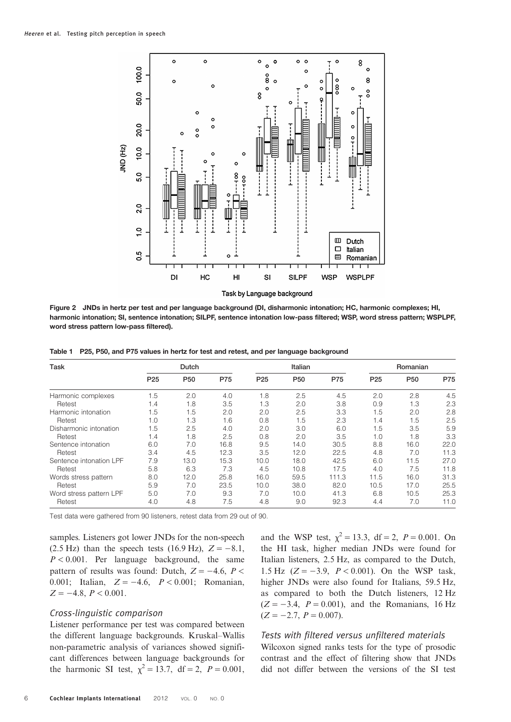<span id="page-5-0"></span>

Figure 2 JNDs in hertz per test and per language background (DI, disharmonic intonation; HC, harmonic complexes; HI, harmonic intonation; SI, sentence intonation; SILPF, sentence intonation low-pass filtered; WSP, word stress pattern; WSPLPF, word stress pattern low-pass filtered).

|  |  | Table 1 P25, P50, and P75 values in hertz for test and retest, and per language background |  |  |  |  |  |
|--|--|--------------------------------------------------------------------------------------------|--|--|--|--|--|
|--|--|--------------------------------------------------------------------------------------------|--|--|--|--|--|

| Task                    | Dutch           |                 |      | Italian         |                 |       | Romanian        |                 |      |
|-------------------------|-----------------|-----------------|------|-----------------|-----------------|-------|-----------------|-----------------|------|
|                         | P <sub>25</sub> | P <sub>50</sub> | P75  | P <sub>25</sub> | P <sub>50</sub> | P75   | P <sub>25</sub> | P <sub>50</sub> | P75  |
| Harmonic complexes      | 1.5             | 2.0             | 4.0  | 1.8             | 2.5             | 4.5   | 2.0             | 2.8             | 4.5  |
| Retest                  | 1.4             | 1.8             | 3.5  | 1.3             | 2.0             | 3.8   | 0.9             | 1.3             | 2.3  |
| Harmonic intonation     | 1.5             | 1.5             | 2.0  | 2.0             | 2.5             | 3.3   | 1.5             | 2.0             | 2.8  |
| Retest                  | 1.0             | 1.3             | 1.6  | 0.8             | 1.5             | 2.3   | 1.4             | 1.5             | 2.5  |
| Disharmonic intonation  | 1.5             | 2.5             | 4.0  | 2.0             | 3.0             | 6.0   | 1.5             | 3.5             | 5.9  |
| Retest                  | 1.4             | 1.8             | 2.5  | 0.8             | 2.0             | 3.5   | 1.0             | 1.8             | 3.3  |
| Sentence intonation     | 6.0             | 7.0             | 16.8 | 9.5             | 14.0            | 30.5  | 8.8             | 16.0            | 22.0 |
| Retest                  | 3.4             | 4.5             | 12.3 | 3.5             | 12.0            | 22.5  | 4.8             | 7.0             | 11.3 |
| Sentence intonation LPF | 7.9             | 13.0            | 15.3 | 10.0            | 18.0            | 42.5  | 6.0             | 11.5            | 27.0 |
| Retest                  | 5.8             | 6.3             | 7.3  | 4.5             | 10.8            | 17.5  | 4.0             | 7.5             | 11.8 |
| Words stress pattern    | 8.0             | 12.0            | 25.8 | 16.0            | 59.5            | 111.3 | 11.5            | 16.0            | 31.3 |
| Retest                  | 5.9             | 7.0             | 23.5 | 10.0            | 38.0            | 82.0  | 10.5            | 17.0            | 25.5 |
| Word stress pattern LPF | 5.0             | 7.0             | 9.3  | 7.0             | 10.0            | 41.3  | 6.8             | 10.5            | 25.3 |
| Retest                  | 4.0             | 4.8             | 7.5  | 4.8             | 9.0             | 92.3  | 4.4             | 7.0             | 11.0 |

Test data were gathered from 90 listeners, retest data from 29 out of 90.

samples. Listeners got lower JNDs for the non-speech  $(2.5 \text{ Hz})$  than the speech tests  $(16.9 \text{ Hz})$ ,  $Z = -8.1$ ,  $P < 0.001$ . Per language background, the same pattern of results was found: Dutch,  $Z = -4.6$ ,  $P <$ 0.001; Italian,  $Z = -4.6$ ,  $P < 0.001$ ; Romanian,  $Z = -4.8, P < 0.001.$ 

#### Cross-linguistic comparison

Listener performance per test was compared between the different language backgrounds. Kruskal–Wallis non-parametric analysis of variances showed significant differences between language backgrounds for the harmonic SI test,  $\chi^2 = 13.7$ , df = 2, P = 0.001, and the WSP test,  $\chi^2 = 13.3$ , df = 2, P = 0.001. On the HI task, higher median JNDs were found for Italian listeners, 2.5 Hz, as compared to the Dutch, 1.5 Hz  $(Z = -3.9, P < 0.001)$ . On the WSP task, higher JNDs were also found for Italians, 59.5 Hz, as compared to both the Dutch listeners, 12 Hz  $(Z = -3.4, P = 0.001)$ , and the Romanians, 16 Hz  $(Z = -2.7, P = 0.007).$ 

## Tests with filtered versus unfiltered materials

Wilcoxon signed ranks tests for the type of prosodic contrast and the effect of filtering show that JNDs did not differ between the versions of the SI test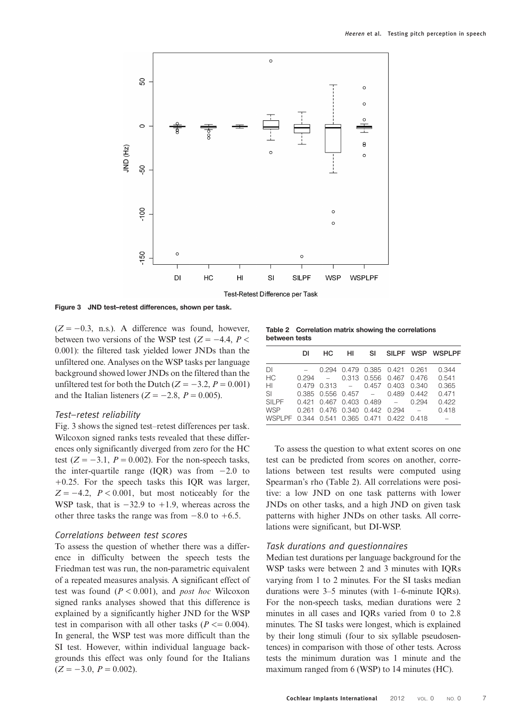<span id="page-6-0"></span>

Figure 3 JND test–retest differences, shown per task.

 $(Z = -0.3, n.s.).$  A difference was found, however, between two versions of the WSP test ( $Z = -4.4$ ,  $P <$ 0.001): the filtered task yielded lower JNDs than the unfiltered one. Analyses on the WSP tasks per language background showed lower JNDs on the filtered than the unfiltered test for both the Dutch ( $Z = -3.2$ ,  $P = 0.001$ ) and the Italian listeners ( $Z = -2.8$ ,  $P = 0.005$ ).

#### Test–retest reliability

Fig. 3 shows the signed test–retest differences per task. Wilcoxon signed ranks tests revealed that these differences only significantly diverged from zero for the HC test  $(Z = -3.1, P = 0.002)$ . For the non-speech tasks, the inter-quartile range (IQR) was from  $-2.0$  to  $+0.25$ . For the speech tasks this IQR was larger,  $Z = -4.2$ ,  $P < 0.001$ , but most noticeably for the WSP task, that is  $-32.9$  to  $+1.9$ , whereas across the other three tasks the range was from  $-8.0$  to  $+6.5$ .

## Correlations between test scores

To assess the question of whether there was a difference in difficulty between the speech tests the Friedman test was run, the non-parametric equivalent of a repeated measures analysis. A significant effect of test was found  $(P < 0.001)$ , and *post hoc* Wilcoxon signed ranks analyses showed that this difference is explained by a significantly higher JND for the WSP test in comparison with all other tasks ( $P \le 0.004$ ). In general, the WSP test was more difficult than the SI test. However, within individual language backgrounds this effect was only found for the Italians  $(Z = -3.0, P = 0.002)$ .

Table 2 Correlation matrix showing the correlations between tests

|                                            | DI | HC. | - HI | - SI |                                             |       | SILPF WSP WSPLPF                                 |
|--------------------------------------------|----|-----|------|------|---------------------------------------------|-------|--------------------------------------------------|
| DI                                         |    |     |      |      | $-$ 0.294 0.479 0.385 0.421 0.261           |       | 0.344                                            |
| <b>HC</b>                                  |    |     |      |      |                                             |       | $0.294$ $ 0.313$ $0.556$ $0.467$ $0.476$ $0.541$ |
| HL                                         |    |     |      |      | $0.479$ $0.313$ $-$ 0.457 0.403 0.340       |       | 0.365                                            |
| SI.                                        |    |     |      |      | $0.385$ $0.556$ $0.457$ $ 0.489$ $0.442$    |       | 0.471                                            |
| <b>SILPF</b>                               |    |     |      |      | $0.421$ $0.467$ $0.403$ $0.489$ $-$         | 0.294 | 0.422                                            |
| WSP                                        |    |     |      |      | $0.261$ $0.476$ $0.340$ $0.442$ $0.294$ $-$ |       | 0.418                                            |
| WSPLPF 0.344 0.541 0.365 0.471 0.422 0.418 |    |     |      |      |                                             |       |                                                  |

To assess the question to what extent scores on one test can be predicted from scores on another, correlations between test results were computed using Spearman's rho (Table 2). All correlations were positive: a low JND on one task patterns with lower JNDs on other tasks, and a high JND on given task patterns with higher JNDs on other tasks. All correlations were significant, but DI-WSP.

## Task durations and questionnaires

Median test durations per language background for the WSP tasks were between 2 and 3 minutes with IQRs varying from 1 to 2 minutes. For the SI tasks median durations were 3–5 minutes (with 1–6-minute IQRs). For the non-speech tasks, median durations were 2 minutes in all cases and IQRs varied from 0 to 2.8 minutes. The SI tasks were longest, which is explained by their long stimuli (four to six syllable pseudosentences) in comparison with those of other tests. Across tests the minimum duration was 1 minute and the maximum ranged from 6 (WSP) to 14 minutes (HC).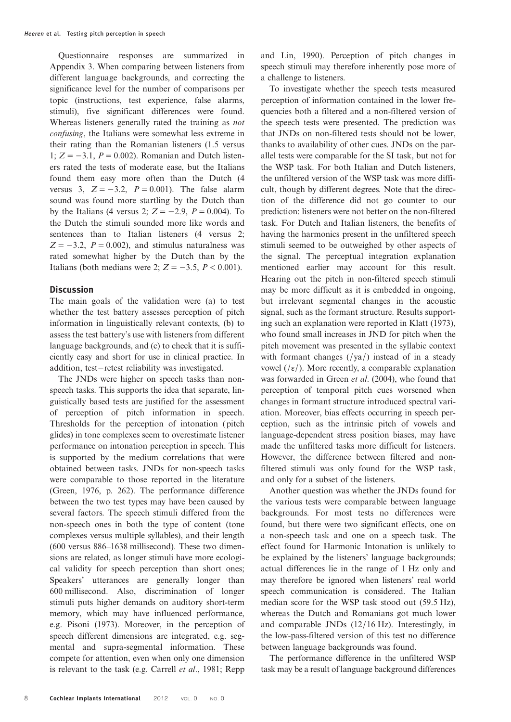Questionnaire responses are summarized in Appendix 3. When comparing between listeners from different language backgrounds, and correcting the significance level for the number of comparisons per topic (instructions, test experience, false alarms, stimuli), five significant differences were found. Whereas listeners generally rated the training as not confusing, the Italians were somewhat less extreme in their rating than the Romanian listeners (1.5 versus 1;  $Z = -3.1$ ,  $P = 0.002$ ). Romanian and Dutch listeners rated the tests of moderate ease, but the Italians found them easy more often than the Dutch (4 versus 3,  $Z = -3.2$ ,  $P = 0.001$ ). The false alarm sound was found more startling by the Dutch than by the Italians (4 versus 2;  $Z = -2.9$ ,  $P = 0.004$ ). To the Dutch the stimuli sounded more like words and sentences than to Italian listeners (4 versus 2;  $Z = -3.2$ ,  $P = 0.002$ ), and stimulus naturalness was rated somewhat higher by the Dutch than by the Italians (both medians were 2;  $Z = -3.5$ ,  $P < 0.001$ ).

## **Discussion**

The main goals of the validation were (a) to test whether the test battery assesses perception of pitch information in linguistically relevant contexts, (b) to assess the test battery's use with listeners from different language backgrounds, and (c) to check that it is sufficiently easy and short for use in clinical practice. In addition, test−retest reliability was investigated.

The JNDs were higher on speech tasks than nonspeech tasks. This supports the idea that separate, linguistically based tests are justified for the assessment of perception of pitch information in speech. Thresholds for the perception of intonation ( pitch glides) in tone complexes seem to overestimate listener performance on intonation perception in speech. This is supported by the medium correlations that were obtained between tasks. JNDs for non-speech tasks were comparable to those reported in the literature [\(Green, 1976](#page-12-0), p. 262). The performance difference between the two test types may have been caused by several factors. The speech stimuli differed from the non-speech ones in both the type of content (tone complexes versus multiple syllables), and their length (600 versus 886–1638 millisecond). These two dimensions are related, as longer stimuli have more ecological validity for speech perception than short ones; Speakers' utterances are generally longer than 600 millisecond. Also, discrimination of longer stimuli puts higher demands on auditory short-term memory, which may have influenced performance, e.g. [Pisoni \(1973\).](#page-12-0) Moreover, in the perception of speech different dimensions are integrated, e.g. segmental and supra-segmental information. These compete for attention, even when only one dimension is relevant to the task (e.g. [Carrell](#page-12-0) et al., 1981; [Repp](#page-12-0)

[and Lin, 1990](#page-12-0)). Perception of pitch changes in speech stimuli may therefore inherently pose more of a challenge to listeners.

To investigate whether the speech tests measured perception of information contained in the lower frequencies both a filtered and a non-filtered version of the speech tests were presented. The prediction was that JNDs on non-filtered tests should not be lower, thanks to availability of other cues. JNDs on the parallel tests were comparable for the SI task, but not for the WSP task. For both Italian and Dutch listeners, the unfiltered version of the WSP task was more difficult, though by different degrees. Note that the direction of the difference did not go counter to our prediction: listeners were not better on the non-filtered task. For Dutch and Italian listeners, the benefits of having the harmonics present in the unfiltered speech stimuli seemed to be outweighed by other aspects of the signal. The perceptual integration explanation mentioned earlier may account for this result. Hearing out the pitch in non-filtered speech stimuli may be more difficult as it is embedded in ongoing, but irrelevant segmental changes in the acoustic signal, such as the formant structure. Results supporting such an explanation were reported in [Klatt \(1973\)](#page-12-0), who found small increases in JND for pitch when the pitch movement was presented in the syllabic context with formant changes  $(\gamma a)$  instead of in a steady vowel (/ε/). More recently, a comparable explanation was forwarded in Green et al[. \(2004\),](#page-12-0) who found that perception of temporal pitch cues worsened when changes in formant structure introduced spectral variation. Moreover, bias effects occurring in speech perception, such as the intrinsic pitch of vowels and language-dependent stress position biases, may have made the unfiltered tasks more difficult for listeners. However, the difference between filtered and nonfiltered stimuli was only found for the WSP task, and only for a subset of the listeners.

Another question was whether the JNDs found for the various tests were comparable between language backgrounds. For most tests no differences were found, but there were two significant effects, one on a non-speech task and one on a speech task. The effect found for Harmonic Intonation is unlikely to be explained by the listeners' language backgrounds; actual differences lie in the range of 1 Hz only and may therefore be ignored when listeners' real world speech communication is considered. The Italian median score for the WSP task stood out (59.5 Hz), whereas the Dutch and Romanians got much lower and comparable JNDs (12/16 Hz). Interestingly, in the low-pass-filtered version of this test no difference between language backgrounds was found.

The performance difference in the unfiltered WSP task may be a result of language background differences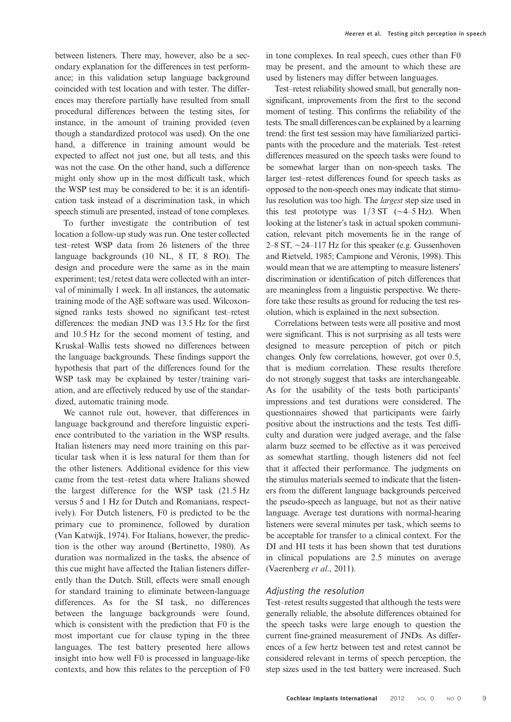between listeners. There may, however, also be a secondary explanation for the differences in test performance; in this validation setup language background coincided with test location and with tester. The differences may therefore partially have resulted from small procedural differences between the testing sites, for instance, in the amount of training provided (even though a standardized protocol was used). On the one hand, a difference in training amount would be expected to affect not just one, but all tests, and this was not the case. On the other hand, such a difference might only show up in the most difficult task, which the WSP test may be considered to be: it is an identification task instead of a discrimination task, in which speech stimuli are presented, instead of tone complexes.

To further investigate the contribution of test location a follow-up study was run. One tester collected test–retest WSP data from 26 listeners of the three language backgrounds (10 NL, 8 IT, 8 RO). The design and procedure were the same as in the main experiment; test/retest data were collected with an interval of minimally 1 week. In all instances, the automatic training mode of the A§E software was used. Wilcoxonsigned ranks tests showed no significant test–retest differences: the median JND was 13.5 Hz for the first and 10.5 Hz for the second moment of testing, and Kruskal–Wallis tests showed no differences between the language backgrounds. These findings support the hypothesis that part of the differences found for the WSP task may be explained by tester/training variation, and are effectively reduced by use of the standardized, automatic training mode.

We cannot rule out, however, that differences in language background and therefore linguistic experience contributed to the variation in the WSP results. Italian listeners may need more training on this particular task when it is less natural for them than for the other listeners. Additional evidence for this view came from the test–retest data where Italians showed the largest difference for the WSP task (21.5 Hz versus 5 and 1 Hz for Dutch and Romanians, respectively). For Dutch listeners, F0 is predicted to be the primary cue to prominence, followed by duration [\(Van Katwijk, 1974\)](#page-13-0). For Italians, however, the prediction is the other way around [\(Bertinetto, 1980\)](#page-12-0). As duration was normalized in the tasks, the absence of this cue might have affected the Italian listeners differently than the Dutch. Still, effects were small enough for standard training to eliminate between-language differences. As for the SI task, no differences between the language backgrounds were found, which is consistent with the prediction that F0 is the most important cue for clause typing in the three languages. The test battery presented here allows insight into how well F0 is processed in language-like contexts, and how this relates to the perception of F0

in tone complexes. In real speech, cues other than F0 may be present, and the amount to which these are used by listeners may differ between languages.

Test–retest reliability showed small, but generally nonsignificant, improvements from the first to the second moment of testing. This confirms the reliability of the tests. The small differences can be explained by a learning trend: the first test session may have familiarized participants with the procedure and the materials. Test–retest differences measured on the speech tasks were found to be somewhat larger than on non-speech tasks. The larger test–retest differences found for speech tasks as opposed to the non-speech ones may indicate that stimulus resolution was too high. The largest step size used in this test prototype was 1/3 ST (∼4–5 Hz). When looking at the listener's task in actual spoken communication, relevant pitch movements lie in the range of 2–8 ST, ∼24–117 Hz for this speaker (e.g. [Gussenhoven](#page-12-0) [and Rietveld, 1985; Campione and Véronis, 1998\)](#page-12-0). This would mean that we are attempting to measure listeners' discrimination or identification of pitch differences that are meaningless from a linguistic perspective. We therefore take these results as ground for reducing the test resolution, which is explained in the next subsection.

Correlations between tests were all positive and most were significant. This is not surprising as all tests were designed to measure perception of pitch or pitch changes. Only few correlations, however, got over 0.5, that is medium correlation. These results therefore do not strongly suggest that tasks are interchangeable. As for the usability of the tests both participants' impressions and test durations were considered. The questionnaires showed that participants were fairly positive about the instructions and the tests. Test difficulty and duration were judged average, and the false alarm buzz seemed to be effective as it was perceived as somewhat startling, though listeners did not feel that it affected their performance. The judgments on the stimulus materials seemed to indicate that the listeners from the different language backgrounds perceived the pseudo-speech as language, but not as their native language. Average test durations with normal-hearing listeners were several minutes per task, which seems to be acceptable for transfer to a clinical context. For the DI and HI tests it has been shown that test durations in clinical populations are 2.5 minutes on average [\(Vaerenberg](#page-13-0) et al., 2011).

#### Adjusting the resolution

Test–retest results suggested that although the tests were generally reliable, the absolute differences obtained for the speech tasks were large enough to question the current fine-grained measurement of JNDs. As differences of a few hertz between test and retest cannot be considered relevant in terms of speech perception, the step sizes used in the test battery were increased. Such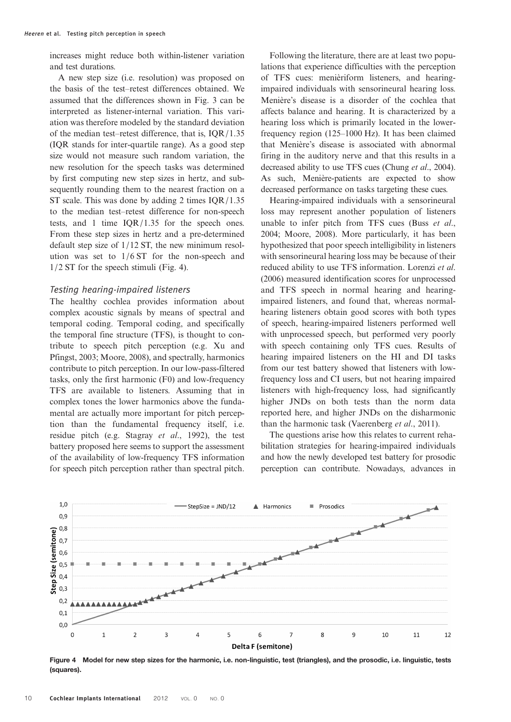increases might reduce both within-listener variation and test durations.

A new step size (i.e. resolution) was proposed on the basis of the test–retest differences obtained. We assumed that the differences shown in Fig. [3](#page-6-0) can be interpreted as listener-internal variation. This variation was therefore modeled by the standard deviation of the median test–retest difference, that is, IQR/1.35 (IQR stands for inter-quartile range). As a good step size would not measure such random variation, the new resolution for the speech tasks was determined by first computing new step sizes in hertz, and subsequently rounding them to the nearest fraction on a ST scale. This was done by adding 2 times IQR/1.35 to the median test–retest difference for non-speech tests, and 1 time IQR/1.35 for the speech ones. From these step sizes in hertz and a pre-determined default step size of 1/12 ST, the new minimum resolution was set to 1/6 ST for the non-speech and 1/2 ST for the speech stimuli (Fig. 4).

#### Testing hearing-impaired listeners

The healthy cochlea provides information about complex acoustic signals by means of spectral and temporal coding. Temporal coding, and specifically the temporal fine structure (TFS), is thought to contribute to speech pitch perception (e.g. [Xu and](#page-13-0) [Pfingst, 2003](#page-13-0); [Moore, 2008](#page-12-0)), and spectrally, harmonics contribute to pitch perception. In our low-pass-filtered tasks, only the first harmonic (F0) and low-frequency TFS are available to listeners. Assuming that in complex tones the lower harmonics above the fundamental are actually more important for pitch perception than the fundamental frequency itself, i.e. residue pitch (e.g. [Stagray](#page-13-0) et al., 1992), the test battery proposed here seems to support the assessment of the availability of low-frequency TFS information for speech pitch perception rather than spectral pitch.

Following the literature, there are at least two populations that experience difficulties with the perception of TFS cues: menièriform listeners, and hearingimpaired individuals with sensorineural hearing loss. Menière's disease is a disorder of the cochlea that affects balance and hearing. It is characterized by a hearing loss which is primarily located in the lowerfrequency region (125–1000 Hz). It has been claimed that Menière's disease is associated with abnormal firing in the auditory nerve and that this results in a decreased ability to use TFS cues (Chung et al[., 2004](#page-12-0)). As such, Menière-patients are expected to show decreased performance on tasks targeting these cues.

Hearing-impaired individuals with a sensorineural loss may represent another population of listeners unable to infer pitch from TFS cues (Buss [et al](#page-12-0)., [2004; Moore, 2008](#page-12-0)). More particularly, it has been hypothesized that poor speech intelligibility in listeners with sensorineural hearing loss may be because of their reduced ability to use TFS information. [Lorenzi](#page-12-0) et al. [\(2006\)](#page-12-0) measured identification scores for unprocessed and TFS speech in normal hearing and hearingimpaired listeners, and found that, whereas normalhearing listeners obtain good scores with both types of speech, hearing-impaired listeners performed well with unprocessed speech, but performed very poorly with speech containing only TFS cues. Results of hearing impaired listeners on the HI and DI tasks from our test battery showed that listeners with lowfrequency loss and CI users, but not hearing impaired listeners with high-frequency loss, had significantly higher JNDs on both tests than the norm data reported here, and higher JNDs on the disharmonic than the harmonic task [\(Vaerenberg](#page-13-0) et al., 2011).

The questions arise how this relates to current rehabilitation strategies for hearing-impaired individuals and how the newly developed test battery for prosodic perception can contribute. Nowadays, advances in



Figure 4 Model for new step sizes for the harmonic, i.e. non-linguistic, test (triangles), and the prosodic, i.e. linguistic, tests (squares).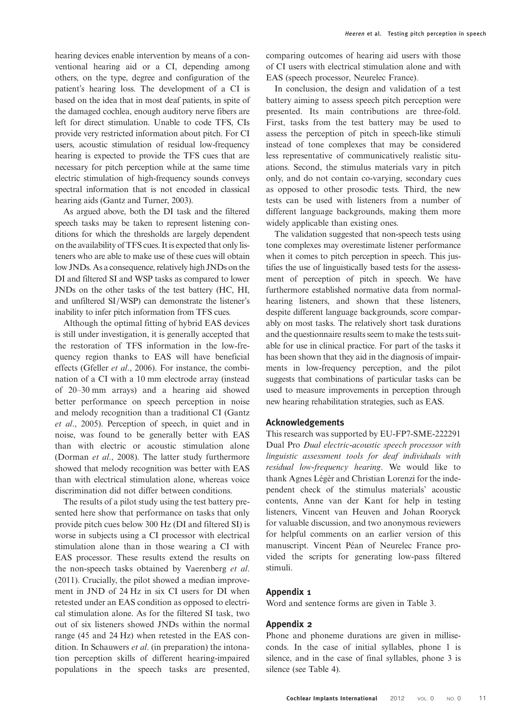hearing devices enable intervention by means of a conventional hearing aid or a CI, depending among others, on the type, degree and configuration of the patient's hearing loss. The development of a CI is based on the idea that in most deaf patients, in spite of the damaged cochlea, enough auditory nerve fibers are left for direct stimulation. Unable to code TFS, CIs provide very restricted information about pitch. For CI users, acoustic stimulation of residual low-frequency hearing is expected to provide the TFS cues that are necessary for pitch perception while at the same time electric stimulation of high-frequency sounds conveys spectral information that is not encoded in classical hearing aids [\(Gantz and Turner, 2003\)](#page-12-0).

As argued above, both the DI task and the filtered speech tasks may be taken to represent listening conditions for which the thresholds are largely dependent on the availability of TFS cues. It is expected that only listeners who are able to make use of these cues will obtain low JNDs. As a consequence, relatively high JNDs on the DI and filtered SI and WSP tasks as compared to lower JNDs on the other tasks of the test battery (HC, HI, and unfiltered SI/WSP) can demonstrate the listener's inability to infer pitch information from TFS cues.

Although the optimal fitting of hybrid EAS devices is still under investigation, it is generally accepted that the restoration of TFS information in the low-frequency region thanks to EAS will have beneficial effects [\(Gfeller](#page-12-0) et al., 2006). For instance, the combination of a CI with a 10 mm electrode array (instead of 20–30 mm arrays) and a hearing aid showed better performance on speech perception in noise and melody recognition than a traditional CI ([Gantz](#page-12-0) et al[., 2005](#page-12-0)). Perception of speech, in quiet and in noise, was found to be generally better with EAS than with electric or acoustic stimulation alone [\(Dorman](#page-12-0) et al., 2008). The latter study furthermore showed that melody recognition was better with EAS than with electrical stimulation alone, whereas voice discrimination did not differ between conditions.

The results of a pilot study using the test battery presented here show that performance on tasks that only provide pitch cues below 300 Hz (DI and filtered SI) is worse in subjects using a CI processor with electrical stimulation alone than in those wearing a CI with EAS processor. These results extend the results on the non-speech tasks obtained by [Vaerenberg](#page-13-0) et al. [\(2011\)](#page-13-0). Crucially, the pilot showed a median improvement in JND of 24 Hz in six CI users for DI when retested under an EAS condition as opposed to electrical stimulation alone. As for the filtered SI task, two out of six listeners showed JNDs within the normal range (45 and 24 Hz) when retested in the EAS condition. In Schauwers *et al.* (in preparation) the intonation perception skills of different hearing-impaired populations in the speech tasks are presented,

comparing outcomes of hearing aid users with those of CI users with electrical stimulation alone and with EAS (speech processor, Neurelec France).

In conclusion, the design and validation of a test battery aiming to assess speech pitch perception were presented. Its main contributions are three-fold. First, tasks from the test battery may be used to assess the perception of pitch in speech-like stimuli instead of tone complexes that may be considered less representative of communicatively realistic situations. Second, the stimulus materials vary in pitch only, and do not contain co-varying, secondary cues as opposed to other prosodic tests. Third, the new tests can be used with listeners from a number of different language backgrounds, making them more widely applicable than existing ones.

The validation suggested that non-speech tests using tone complexes may overestimate listener performance when it comes to pitch perception in speech. This justifies the use of linguistically based tests for the assessment of perception of pitch in speech. We have furthermore established normative data from normalhearing listeners, and shown that these listeners, despite different language backgrounds, score comparably on most tasks. The relatively short task durations and the questionnaire results seem to make the tests suitable for use in clinical practice. For part of the tasks it has been shown that they aid in the diagnosis of impairments in low-frequency perception, and the pilot suggests that combinations of particular tasks can be used to measure improvements in perception through new hearing rehabilitation strategies, such as EAS.

## Acknowledgements

This research was supported by EU-FP7-SME-222291 Dual Pro Dual electric-acoustic speech processor with linguistic assessment tools for deaf individuals with residual low-frequency hearing. We would like to thank Agnes Légèr and Christian Lorenzi for the independent check of the stimulus materials' acoustic contents, Anne van der Kant for help in testing listeners, Vincent van Heuven and Johan Rooryck for valuable discussion, and two anonymous reviewers for helpful comments on an earlier version of this manuscript. Vincent Péan of Neurelec France provided the scripts for generating low-pass filtered stimuli.

## Appendix 1

Word and sentence forms are given in Table [3.](#page-11-0)

## Appendix 2

Phone and phoneme durations are given in milliseconds. In the case of initial syllables, phone 1 is silence, and in the case of final syllables, phone 3 is silence (see Table [4](#page-11-0)).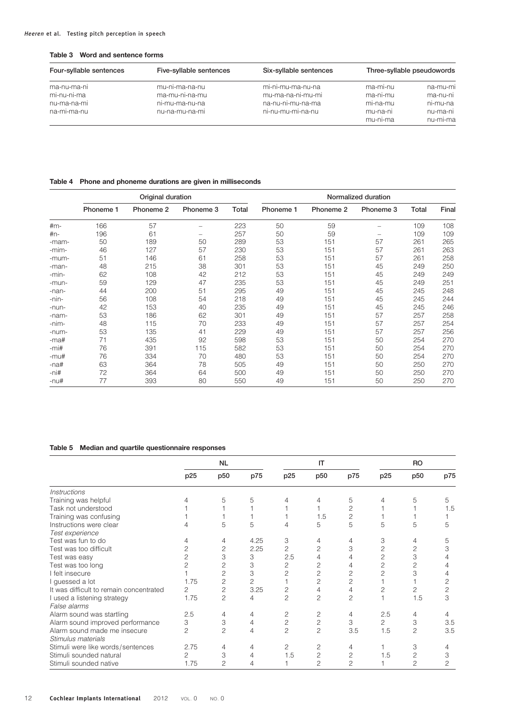<span id="page-11-0"></span>

| Table 3 Word and sentence forms |  |  |  |  |  |
|---------------------------------|--|--|--|--|--|
|---------------------------------|--|--|--|--|--|

| Four-syllable sentences | Five-syllable sentences | Six-syllable sentences |                      | Three-syllable pseudowords |
|-------------------------|-------------------------|------------------------|----------------------|----------------------------|
| ma-nu-ma-ni             | mu-ni-ma-na-nu          | mi-ni-mu-ma-nu-na      | ma-mi-nu             | na-mu-mi                   |
| mi-nu-ni-ma             | ma-mu-ni-na-mu          | mu-ma-na-ni-mu-mi      | ma-ni-mu             | ma-nu-ni                   |
| nu-ma-na-mi             | ni-mu-ma-nu-na          | na-nu-ni-mu-na-ma      | mi-na-mu             | ni-mu-na                   |
| na-mi-ma-nu             | nu-na-mu-na-mi          | ni-nu-mu-mi-na-nu      | mu-na-ni<br>mu-ni-ma | nu-ma-ni<br>nu-mi-ma       |

## Table 4 Phone and phoneme durations are given in milliseconds

|         |           | Original duration |           |       | Normalized duration |           |                          |       |       |  |
|---------|-----------|-------------------|-----------|-------|---------------------|-----------|--------------------------|-------|-------|--|
|         | Phoneme 1 | Phoneme 2         | Phoneme 3 | Total | Phoneme 1           | Phoneme 2 | Phoneme 3                | Total | Final |  |
| $#m-$   | 166       | 57                |           | 223   | 50                  | 59        | $\overline{\phantom{0}}$ | 109   | 108   |  |
| $\n#n-$ | 196       | 61                |           | 257   | 50                  | 59        | -                        | 109   | 109   |  |
| -mam-   | 50        | 189               | 50        | 289   | 53                  | 151       | 57                       | 261   | 265   |  |
| -mim-   | 46        | 127               | 57        | 230   | 53                  | 151       | 57                       | 261   | 263   |  |
| -mum-   | 51        | 146               | 61        | 258   | 53                  | 151       | 57                       | 261   | 258   |  |
| -man-   | 48        | 215               | 38        | 301   | 53                  | 151       | 45                       | 249   | 250   |  |
| -min-   | 62        | 108               | 42        | 212   | 53                  | 151       | 45                       | 249   | 249   |  |
| -mun-   | 59        | 129               | 47        | 235   | 53                  | 151       | 45                       | 249   | 251   |  |
| -nan-   | 44        | 200               | 51        | 295   | 49                  | 151       | 45                       | 245   | 248   |  |
| -nin-   | 56        | 108               | 54        | 218   | 49                  | 151       | 45                       | 245   | 244   |  |
| -nun-   | 42        | 153               | 40        | 235   | 49                  | 151       | 45                       | 245   | 246   |  |
| -nam-   | 53        | 186               | 62        | 301   | 49                  | 151       | 57                       | 257   | 258   |  |
| -nim-   | 48        | 115               | 70        | 233   | 49                  | 151       | 57                       | 257   | 254   |  |
| -num-   | 53        | 135               | 41        | 229   | 49                  | 151       | 57                       | 257   | 256   |  |
| -ma#    | 71        | 435               | 92        | 598   | 53                  | 151       | 50                       | 254   | 270   |  |
| $-mi#$  | 76        | 391               | 115       | 582   | 53                  | 151       | 50                       | 254   | 270   |  |
| $-mu#$  | 76        | 334               | 70        | 480   | 53                  | 151       | 50                       | 254   | 270   |  |
| $-na#$  | 63        | 364               | 78        | 505   | 49                  | 151       | 50                       | 250   | 270   |  |
| -ni#    | 72        | 364               | 64        | 500   | 49                  | 151       | 50                       | 250   | 270   |  |
| -nu#    | 77        | 393               | 80        | 550   | 49                  | 151       | 50                       | 250   | 270   |  |

## Table 5 Median and quartile questionnaire responses

|                                         |                | <b>NL</b>       |                |                | IT              |                |                | <b>RO</b>       |     |
|-----------------------------------------|----------------|-----------------|----------------|----------------|-----------------|----------------|----------------|-----------------|-----|
|                                         | p25            | p <sub>50</sub> | p75            | p25            | p <sub>50</sub> | p75            | p25            | p <sub>50</sub> | p75 |
| <i><b>Instructions</b></i>              |                |                 |                |                |                 |                |                |                 |     |
| Training was helpful                    |                | 5               | 5              |                | 4               | 5              | 4              | 5               | 5   |
| Task not understood                     |                |                 |                |                |                 | 2              |                |                 | 1.5 |
| Training was confusing                  |                |                 |                |                | 1.5             | 2              |                |                 |     |
| Instructions were clear                 |                | 5               | 5              | 4              | 5               | 5              | 5              | 5               | 5   |
| Test experience                         |                |                 |                |                |                 |                |                |                 |     |
| Test was fun to do                      | 4              | 4               | 4.25           | 3              | $\overline{4}$  | 4              | 3              | 4               | 5   |
| Test was too difficult                  | 2              | 2               | 2.25           | 2              | 2               | 3              | $\overline{c}$ | 2               | 3   |
| Test was easy                           | 2              | 3               | 3              | 2.5            | 4               |                | $\overline{c}$ | 3               |     |
| Test was too long                       | 2              | $\mathbf{2}$    | 3              | 2              | 2               | 4              | $\overline{c}$ | 2               |     |
| I felt insecure                         |                | 2               | 3              | 2              | 2               | 2              | $\overline{c}$ | 3               |     |
| I guessed a lot                         | 1.75           | 2               | $\overline{c}$ |                | 2               | 2              |                |                 | 2   |
| It was difficult to remain concentrated | 2              | $\overline{c}$  | 3.25           | 2              | 4               | $\overline{4}$ | 2              | 2               | 2   |
| I used a listening strategy             | 1.75           | $\overline{c}$  | 4              | $\overline{c}$ | $\overline{c}$  | $\overline{c}$ |                | 1.5             | 3   |
| False alarms                            |                |                 |                |                |                 |                |                |                 |     |
| Alarm sound was startling               | 2.5            | 4               | $\overline{4}$ | 2              | 2               | 4              | 2.5            | 4               |     |
| Alarm sound improved performance        | 3              | 3               | 4              | 2              | $\overline{c}$  | 3              | 2              | 3               | 3.5 |
| Alarm sound made me insecure            | $\overline{c}$ | 2               | 4              | $\overline{c}$ | $\overline{c}$  | 3.5            | 1.5            | $\overline{c}$  | 3.5 |
| Stimulus materials                      |                |                 |                |                |                 |                |                |                 |     |
| Stimuli were like words/sentences       | 2.75           | 4               | 4              | 2              | 2               | 4              |                | 3               |     |
| Stimuli sounded natural                 | 2              | 3               | 4              | 1.5            | $\overline{c}$  | 2              | 1.5            | $\overline{c}$  | 3   |
| Stimuli sounded native                  | 1.75           | 2               | 4              |                | $\overline{c}$  | $\overline{c}$ |                | 2               | 2   |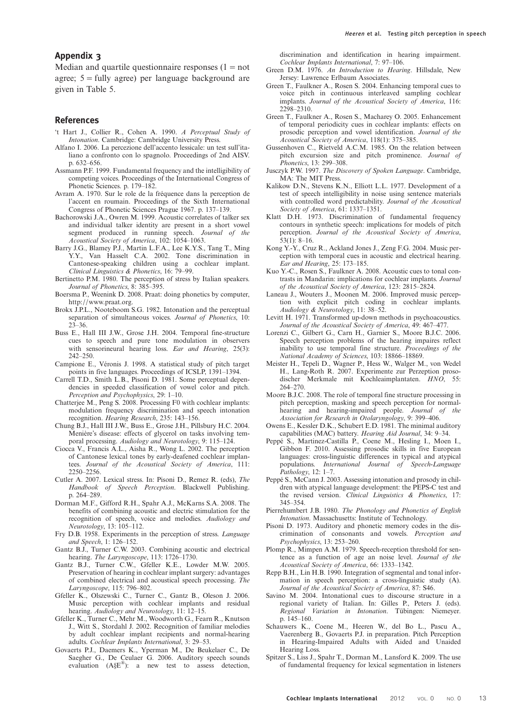## <span id="page-12-0"></span>Appendix 3

Median and quartile questionnaire responses  $(1 = not$ agree;  $5 =$  fully agree) per language background are given in Table [5](#page-11-0).

#### References

- 't Hart J., Collier R., Cohen A. 1990. A Perceptual Study of Intonation. Cambridge: Cambridge University Press.
- Alfano I. 2006. La percezione dell'accento lessicale: un test sull'italiano a confronto con lo spagnolo. Proceedings of 2nd AISV. p. 632–656.
- Assmann P.F. 1999. Fundamental frequency and the intelligibility of competing voices. Proceedings of the International Congress of Phonetic Sciences. p. 179–182.
- Avram A. 1970. Sur le role de la fréquence dans la perception de l'accent en roumain. Proceedings of the Sixth International Congress of Phonetic Sciences Prague 1967. p. 137–139.
- Bachorowski J.A., Owren M. 1999. Acoustic correlates of talker sex and individual talker identity are present in a short vowel segment produced in running speech. Journal of the Acoustical Society of America, 102: 1054–1063.
- Barry J.G., Blamey P.J., Martin L.F.A., Lee K.Y.S., Tang T., Ming Y.Y., Van Hasselt C.A. 2002. Tone discrimination in Cantonese-speaking children using a cochlear implant. Clinical Linguistics & Phonetics, 16: 79–99.
- Bertinetto P.M. 1980. The perception of stress by Italian speakers. Journal of Phonetics, 8: 385–395.
- Boersma P., Weenink D. 2008. Praat: doing phonetics by computer, [http:](http://www.praat.org)//[www.praat.org](http://www.praat.org).
- Brokx J.P.L., Nooteboom S.G. 1982. Intonation and the perceptual separation of simultaneous voices. Journal of Phonetics, 10:  $23 - 36$
- Buss E., Hall III J.W., Grose J.H. 2004. Temporal fine-structure cues to speech and pure tone modulation in observers with sensorineural hearing loss. Ear and Hearing, 25(3): 242–250.
- Campione E., Véronis J. 1998. A statistical study of pitch target points in five languages. Proceedings of ICSLP, 1391–1394.
- Carrell T.D., Smith L.B., Pisoni D. 1981. Some perceptual dependencies in speeded classification of vowel color and pitch. Perception and Psychophysics, 29: 1–10.
- Chatterjee M., Peng S. 2008. Processing F0 with cochlear implants: modulation frequency discrimination and speech intonation recognition. Hearing Research, 235: 143–156.
- Chung B.J., Hall III J.W., Buss E., Grose J.H., Pillsbury H.C. 2004. Menière's disease: effects of glycerol on tasks involving temporal processing. Audiology and Neurotology, 9: 115–124.
- Ciocca V., Francis A.L., Aisha R., Wong L. 2002. The perception of Cantonese lexical tones by early-deafened cochlear implantees. Journal of the Acoustical Society of America, 111: 2250–2256.
- Cutler A. 2007. Lexical stress. In: Pisoni D., Remez R. (eds), The Handbook of Speech Perception. Blackwell Publishing. p. 264–289.
- Dorman M.F., Gifford R.H., Spahr A.J., McKarns S.A. 2008. The benefits of combining acoustic and electric stimulation for the recognition of speech, voice and melodies. Audiology and Neurotology, 13: 105–112.
- Fry D.B. 1958. Experiments in the perception of stress. Language and Speech, 1: 126–152.
- Gantz B.J., Turner C.W. 2003. Combining acoustic and electrical hearing. The Laryngoscope, 113: 1726-1730.
- Gantz B.J., Turner C.W., Gfeller K.E., Lowder M.W. 2005. Preservation of hearing in cochlear implant surgery: advantages of combined electrical and acoustical speech processing. The Laryngoscope, 115: 796–802.
- Gfeller K., Olszewski C., Turner C., Gantz B., Oleson J. 2006. Music perception with cochlear implants and residual hearing. Audiology and Neurotology, 11: 12–15.
- Gfeller K., Turner C., Mehr M., Woodworth G., Fearn R., Knutson J., Witt S., Stordahl J. 2002. Recognition of familiar melodies by adult cochlear implant recipients and normal-hearing adults. Cochlear Implants International, 3: 29–53.
- Govaerts P.J., Daemers K., Yperman M., De Beukelaer C., De Saegher G., De Ceulaer G. 2006. Auditory speech sounds evaluation (A§E®): a new test to assess detection,

discrimination and identification in hearing impairment. Cochlear Implants International, 7: 97–106.

- Green D.M. 1976. An Introduction to Hearing. Hillsdale, New Jersey: Lawrence Erlbaum Associates.
- Green T., Faulkner A., Rosen S. 2004. Enhancing temporal cues to voice pitch in continuous interleaved sampling cochlear implants. Journal of the Acoustical Society of America, 116: 2298–2310.
- Green T., Faulkner A., Rosen S., Macharey O. 2005. Enhancement of temporal periodicity cues in cochlear implants: effects on prosodic perception and vowel identification. Journal of the Acoustical Society of America, 118(1): 375–385.
- Gussenhoven C., Rietveld A.C.M. 1985. On the relation between pitch excursion size and pitch prominence. Journal of Phonetics, 13: 299–308.
- Jusczyk P.W. 1997. The Discovery of Spoken Language. Cambridge, MA: The MIT Press.
- Kalikow D.N., Stevens K.N., Elliott L.L. 1977. Development of a test of speech intelligibility in noise using sentence materials with controlled word predictability. Journal of the Acoustical Society of America, 61: 1337-1351.
- Klatt D.H. 1973. Discrimination of fundamental frequency contours in synthetic speech: implications for models of pitch perception. Journal of the Acoustical Society of America, 53(1): 8–16.
- Kong Y.-Y., Cruz R., Ackland Jones J., Zeng F.G. 2004. Music perception with temporal cues in acoustic and electrical hearing. Ear and Hearing, 25: 173–185.
- Kuo Y.-C., Rosen S., Faulkner A. 2008. Acoustic cues to tonal contrasts in Mandarin: implications for cochlear implants. Journal of the Acoustical Society of America, 123: 2815–2824.
- Laneau J., Wouters J., Moonen M. 2006. Improved music perception with explicit pitch coding in cochlear implants. Audiology & Neurotology, 11: 38–52.
- Levitt H. 1971. Transformed up-down methods in psychoacoustics. Journal of the Acoustical Society of America, 49: 467–477.
- Lorenzi C., Gilbert G., Carn H., Garnier S., Moore B.J.C. 2006. Speech perception problems of the hearing impaires reflect inability to use temporal fine structure. Proceedings of the National Academy of Sciences, 103: 18866–18869.
- Meister H., Tepeli D., Wagner P., Hess W., Walger M., von Wedel H., Lang-Roth R. 2007. Experimente zur Perzeption prosodischer Merkmale mit Kochleaimplantaten. HNO, 55: 264–270.
- Moore B.J.C. 2008. The role of temporal fine structure processing in pitch perception, masking and speech perception for normal-<br>hearing and hearing-impaired people. Journal of the hearing and hearing-impaired people. Journal of Association for Research in Otolaryngology, 9: 399–406.
- Owens E., Kessler D.K., Schubert E.D. 1981. The minimal auditory capabilities (MAC) battery. Hearing Aid Journal, 34: 9–34.
- Peppé S., Martinez-Castilla P., Coene M., Hesling I., Moen I., Gibbon F. 2010. Assessing prosodic skills in five European languages: cross-linguistic differences in typical and atypical populations. International Journal of Speech-Language Pathology, 12: 1–7.
- Peppé S., McCann J. 2003. Assessing intonation and prosody in children with atypical language development: the PEPS-C test and the revised version. Clinical Linguistics & Phonetics, 17: 345–354.
- Pierrehumbert J.B. 1980. The Phonology and Phonetics of English Intonation. Massachusetts: Institute of Technology.
- Pisoni D. 1973. Auditory and phonetic memory codes in the discrimination of consonants and vowels. Perception and Psychophysics, 13: 253–260.
- Plomp R., Mimpen A.M. 1979. Speech-reception threshold for sentence as a function of age an noise level. Journal of the Acoustical Society of America, 66: 1333–1342.
- Repp B.H., Lin H.B. 1990. Integration of segmental and tonal information in speech perception: a cross-linguistic study (A). Journal of the Acoustical Society of America, 87: S46.
- Savino M. 2004. Intonational cues to discourse structure in a regional variety of Italian. In: Gilles P., Peters J. (eds). Regional Variation in Intonation. Tübingen: Niemeyer. p. 145–160.
- Schauwers K., Coene M., Heeren W., del Bo L., Pascu A., Vaerenberg B., Govaerts P.J. in preparation. Pitch Perception in Hearing-Impaired Adults with Aided and Unaided Hearing Loss.
- Spitzer S., Liss J., Spahr T., Dorman M., Lansford K. 2009. The use of fundamental frequency for lexical segmentation in listeners